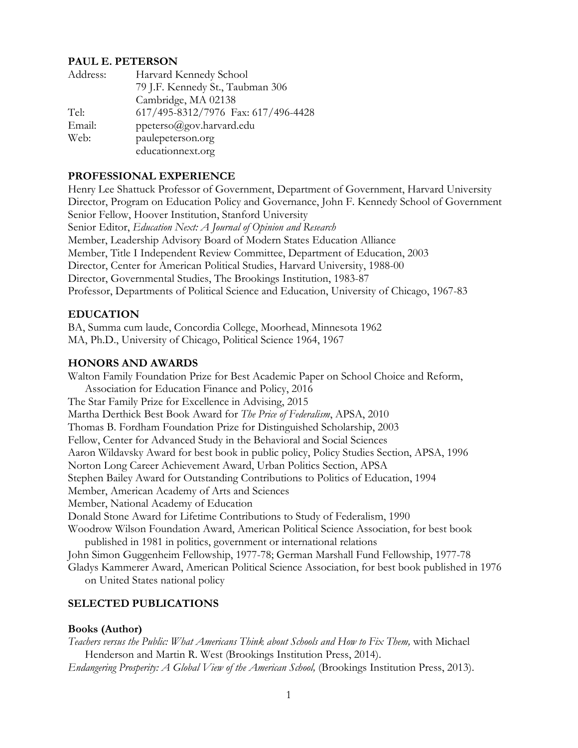#### **PAUL E. PETERSON**

| Address: | Harvard Kennedy School              |
|----------|-------------------------------------|
|          | 79 J.F. Kennedy St., Taubman 306    |
|          | Cambridge, MA 02138                 |
| Tel:     | 617/495-8312/7976 Fax: 617/496-4428 |
| Email:   | ppeterso@gov.harvard.edu            |
| Web:     | paulepeterson.org                   |
|          | educationnext.org                   |

# **PROFESSIONAL EXPERIENCE**

Henry Lee Shattuck Professor of Government, Department of Government, Harvard University Director, Program on Education Policy and Governance, John F. Kennedy School of Government Senior Fellow, Hoover Institution, Stanford University Senior Editor, *Education Next: A Journal of Opinion and Research* Member, Leadership Advisory Board of Modern States Education Alliance Member, Title I Independent Review Committee, Department of Education, 2003 Director, Center for American Political Studies, Harvard University, 1988-00 Director, Governmental Studies, The Brookings Institution, 1983-87 Professor, Departments of Political Science and Education, University of Chicago, 1967-83

## **EDUCATION**

BA, Summa cum laude, Concordia College, Moorhead, Minnesota 1962 MA, Ph.D., University of Chicago, Political Science 1964, 1967

## **HONORS AND AWARDS**

Walton Family Foundation Prize for Best Academic Paper on School Choice and Reform, Association for Education Finance and Policy, 2016 The Star Family Prize for Excellence in Advising, 2015 Martha Derthick Best Book Award for *The Price of Federalism*, APSA, 2010 Thomas B. Fordham Foundation Prize for Distinguished Scholarship, 2003 Fellow, Center for Advanced Study in the Behavioral and Social Sciences Aaron Wildavsky Award for best book in public policy, Policy Studies Section, APSA, 1996 Norton Long Career Achievement Award, Urban Politics Section, APSA Stephen Bailey Award for Outstanding Contributions to Politics of Education, 1994 Member, American Academy of Arts and Sciences Member, National Academy of Education Donald Stone Award for Lifetime Contributions to Study of Federalism, 1990 Woodrow Wilson Foundation Award, American Political Science Association, for best book published in 1981 in politics, government or international relations John Simon Guggenheim Fellowship, 1977-78; German Marshall Fund Fellowship, 1977-78 Gladys Kammerer Award, American Political Science Association, for best book published in 1976

on United States national policy

## **SELECTED PUBLICATIONS**

## **Books (Author)**

*Teachers versus the Public: What Americans Think about Schools and How to Fix Them,* with Michael Henderson and Martin R. West (Brookings Institution Press, 2014). *Endangering Prosperity: A Global View of the American School,* (Brookings Institution Press, 2013).